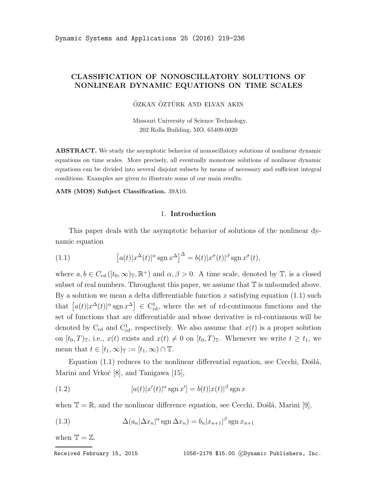## CLASSIFICATION OF NONOSCILLATORY SOLUTIONS OF NONLINEAR DYNAMIC EQUATIONS ON TIME SCALES

ÖZKAN ÖZTÜRK AND ELVAN AKIN

Missouri University of Science Technology, 202 Rolla Building, MO, 65409-0020

**ABSTRACT.** We study the asymptotic behavior of nonoscillatory solutions of nonlinear dynamic equations on time scales. More precisely, all eventually monotone solutions of nonlinear dynamic equations can be divided into several disjoint subsets by means of necessary and sufficient integral conditions. Examples are given to illustrate some of our main results.

AMS (MOS) Subject Classification. 39A10.

### 1. Introduction

This paper deals with the asymptotic behavior of solutions of the nonlinear dynamic equation

(1.1) 
$$
\left[a(t)|x^{\Delta}(t)|^{\alpha}\operatorname{sgn} x^{\Delta}\right]^{\Delta} = b(t)|x^{\sigma}(t)|^{\beta}\operatorname{sgn} x^{\sigma}(t),
$$

where  $a, b \in C_{rd}([t_0, \infty)_\mathbb{T}, \mathbb{R}^+)$  and  $\alpha, \beta > 0$ . A time scale, denoted by  $\mathbb{T}$ , is a closed subset of real numbers. Throughout this paper, we assume that  $\mathbb T$  is unbounded above. By a solution we mean a delta differentiable function x satisfying equation  $(1.1)$  such that  $[a(t)|x^{\Delta}(t)|^{\alpha}$  sgn  $x^{\Delta}] \in C_{\rm rd}^1$ , where the set of rd-continuous functions and the set of functions that are differentiable and whose derivative is rd-continuous will be denoted by  $C_{\rm rd}$  and  $C_{\rm rd}^1$ , respectively. We also assume that  $x(t)$  is a proper solution on  $[t_0, T)_{\mathbb{T}}$ , i.e.,  $x(t)$  exists and  $x(t) \neq 0$  on  $[t_0, T)_{\mathbb{T}}$ . Whenever we write  $t \geq t_1$ , we mean that  $t \in [t_1, \infty)_{\mathbb{T}} := [t_1, \infty) \cap \mathbb{T}$ .

Equation  $(1.1)$  reduces to the nonlinear differential equation, see Cecchi, Došlá, Marini and Vrkoč [8], and Tanigawa [15],

(1.2) 
$$
[a(t)|x'(t)|^{\alpha}\operatorname{sgn}x'] = b(t)|x(t)|^{\beta}\operatorname{sgn}x
$$

when  $\mathbb{T} = \mathbb{R}$ , and the nonlinear difference equation, see Cecchi, Došlá, Marini [9],

(1.3) 
$$
\Delta(a_n|\Delta x_n|^{\alpha} \operatorname{sgn} \Delta x_n) = b_n |x_{n+1}|^{\beta} \operatorname{sgn} x_{n+1}
$$

when  $\mathbb{T} = \mathbb{Z}$ .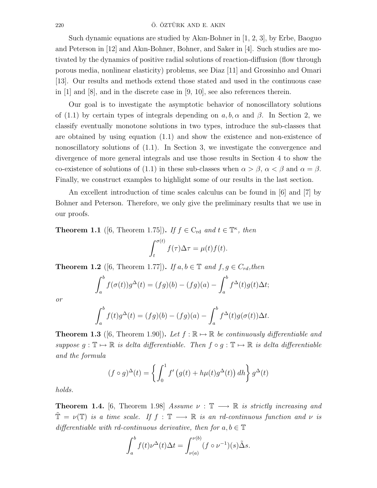### 220 Ö. ÖZTÜRK AND E. AKIN

Such dynamic equations are studied by Akın-Bohner in [1, 2, 3], by Erbe, Baoguo and Peterson in [12] and Akın-Bohner, Bohner, and Saker in [4]. Such studies are motivated by the dynamics of positive radial solutions of reaction-diffusion (flow through porous media, nonlinear elasticity) problems, see Diaz [11] and Grossinho and Omari [13]. Our results and methods extend those stated and used in the continuous case in  $[1]$  and  $[8]$ , and in the discrete case in  $[9, 10]$ , see also references therein.

Our goal is to investigate the asymptotic behavior of nonoscillatory solutions of (1.1) by certain types of integrals depending on a, b,  $\alpha$  and  $\beta$ . In Section 2, we classify eventually monotone solutions in two types, introduce the sub-classes that are obtained by using equation (1.1) and show the existence and non-existence of nonoscillatory solutions of  $(1.1)$ . In Section 3, we investigate the convergence and divergence of more general integrals and use those results in Section 4 to show the co-existence of solutions of (1.1) in these sub-classes when  $\alpha > \beta$ ,  $\alpha < \beta$  and  $\alpha = \beta$ . Finally, we construct examples to highlight some of our results in the last section.

An excellent introduction of time scales calculus can be found in [6] and [7] by Bohner and Peterson. Therefore, we only give the preliminary results that we use in our proofs.

**Theorem 1.1** ([6, Theorem 1.75]). If  $f \in C_{\text{rd}}$  and  $t \in \mathbb{T}^{\kappa}$ , then

$$
\int_t^{\sigma(t)} f(\tau) \Delta \tau = \mu(t) f(t).
$$

**Theorem 1.2** ([6, Theorem 1.77]). If  $a, b \in \mathbb{T}$  and  $f, g \in C_{rd}$ , then

$$
\int_a^b f(\sigma(t))g^{\Delta}(t) = (fg)(b) - (fg)(a) - \int_a^b f^{\Delta}(t)g(t)\Delta t;
$$

or

$$
\int_a^b f(t)g^{\Delta}(t) = (fg)(b) - (fg)(a) - \int_a^b f^{\Delta}(t)g(\sigma(t))\Delta t.
$$

**Theorem 1.3** ([6, Theorem 1.90]). Let  $f : \mathbb{R} \to \mathbb{R}$  be continuously differentiable and suppose  $q: \mathbb{T} \mapsto \mathbb{R}$  is delta differentiable. Then  $f \circ q: \mathbb{T} \mapsto \mathbb{R}$  is delta differentiable and the formula

$$
(f \circ g)^{\Delta}(t) = \left\{ \int_0^1 f'(g(t) + h\mu(t)g^{\Delta}(t)) \, dh \right\} g^{\Delta}(t)
$$

holds.

**Theorem 1.4.** [6, Theorem 1.98] Assume  $\nu : \mathbb{T} \longrightarrow \mathbb{R}$  is strictly increasing and  $\tilde{\mathbb{T}} = \nu(\mathbb{T})$  is a time scale. If  $f : \mathbb{T} \longrightarrow \mathbb{R}$  is an rd-continuous function and  $\nu$  is differentiable with rd-continuous derivative, then for  $a, b \in \mathbb{T}$ 

$$
\int_a^b f(t)\nu^{\Delta}(t)\Delta t = \int_{\nu(a)}^{\nu(b)} (f \circ \nu^{-1})(s)\tilde{\Delta}s.
$$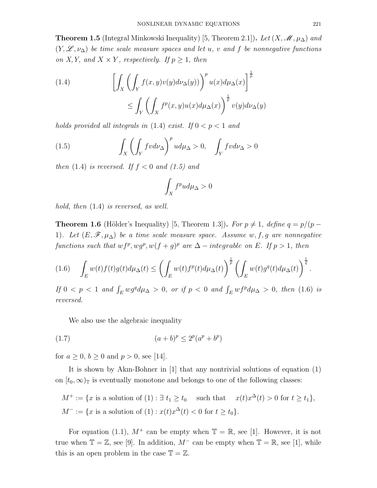**Theorem 1.5** (Integral Minkowski Inequality) [5, Theorem 2.1]). Let  $(X, \mathcal{M}, \mu_{\Delta})$  and  $(Y, \mathscr{L}, \nu_{\Delta})$  be time scale measure spaces and let u, v and f be nonnegative functions on X, Y, and  $X \times Y$ , respectively. If  $p \geq 1$ , then

(1.4) 
$$
\left[ \int_X \left( \int_Y f(x, y) v(y) d\nu_{\Delta}(y) \right)^p u(x) d\mu_{\Delta}(x) \right]^{\frac{1}{p}} \leq \int_Y \left( \int_X f^p(x, y) u(x) d\mu_{\Delta}(x) \right)^{\frac{1}{p}} v(y) d\nu_{\Delta}(y)
$$

holds provided all integrals in  $(1.4)$  exist. If  $0 < p < 1$  and

(1.5) 
$$
\int_{X} \left( \int_{Y} f v d\nu_{\Delta} \right)^{p} u d\mu_{\Delta} > 0, \quad \int_{Y} f v d\nu_{\Delta} > 0
$$

then  $(1.4)$  is reversed. If  $f < 0$  and  $(1.5)$  and

$$
\int_X f^p u d\mu_\Delta > 0
$$

hold, then (1.4) is reversed, as well.

**Theorem 1.6** (Hölder's Inequality) [5, Theorem 1.3]). For  $p \neq 1$ , define  $q = p/(p - 1)$ 1). Let  $(E, \mathscr{F}, \mu_{\Delta})$  be a time scale measure space. Assume w, f, g are nonnegative functions such that  $wf^p, wg^p, w(f + g)^p$  are  $\Delta - integral$  integrable on E. If  $p > 1$ , then

$$
(1.6)\quad \int_E w(t)f(t)g(t)d\mu_{\Delta}(t)\leq \left(\int_E w(t)f^p(t)d\mu_{\Delta}(t)\right)^{\frac{1}{p}}\left(\int_E w(t)g^q(t)d\mu_{\Delta}(t)\right)^{\frac{1}{q}}.
$$

If  $0 < p < 1$  and  $\int_E wg^q d\mu_{\Delta} > 0$ , or if  $p < 0$  and  $\int_E wf^p d\mu_{\Delta} > 0$ , then (1.6) is reversed.

We also use the algebraic inequality

(1.7) 
$$
(a+b)^p \le 2^p (a^p + b^p)
$$

for  $a \ge 0$ ,  $b \ge 0$  and  $p > 0$ , see [14].

It is shown by Akın-Bohner in [1] that any nontrivial solutions of equation (1) on  $[t_0, \infty)$ <sub>T</sub> is eventually monotone and belongs to one of the following classes:

$$
M^+ := \{x \text{ is a solution of } (1) : \exists t_1 \ge t_0 \quad \text{such that} \quad x(t)x^{\Delta}(t) > 0 \text{ for } t \ge t_1\},\
$$
  

$$
M^- := \{x \text{ is a solution of } (1) : x(t)x^{\Delta}(t) < 0 \text{ for } t \ge t_0\}.
$$

For equation (1.1),  $M^+$  can be empty when  $\mathbb{T} = \mathbb{R}$ , see [1]. However, it is not true when  $\mathbb{T} = \mathbb{Z}$ , see [9]. In addition,  $M^-$  can be empty when  $\mathbb{T} = \mathbb{R}$ , see [1], while this is an open problem in the case  $\mathbb{T} = \mathbb{Z}$ .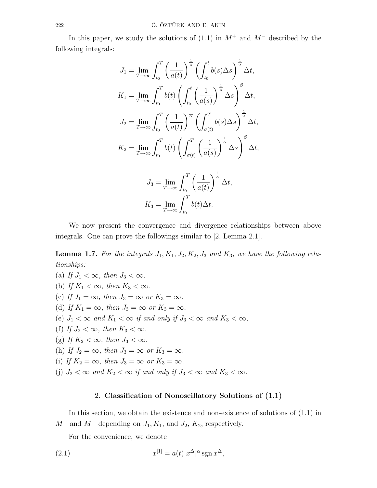In this paper, we study the solutions of  $(1.1)$  in  $M^+$  and  $M^-$  described by the following integrals:

$$
J_1 = \lim_{T \to \infty} \int_{t_0}^T \left(\frac{1}{a(t)}\right)^{\frac{1}{\alpha}} \left(\int_{t_0}^t b(s) \Delta s\right)^{\frac{1}{\alpha}} \Delta t,
$$
  
\n
$$
K_1 = \lim_{T \to \infty} \int_{t_0}^T b(t) \left(\int_{t_0}^t \left(\frac{1}{a(s)}\right)^{\frac{1}{\alpha}} \Delta s\right)^{\beta} \Delta t,
$$
  
\n
$$
J_2 = \lim_{T \to \infty} \int_{t_0}^T \left(\frac{1}{a(t)}\right)^{\frac{1}{\alpha}} \left(\int_{\sigma(t)}^T b(s) \Delta s\right)^{\frac{1}{\alpha}} \Delta t,
$$
  
\n
$$
K_2 = \lim_{T \to \infty} \int_{t_0}^T b(t) \left(\int_{\sigma(t)}^T \left(\frac{1}{a(s)}\right)^{\frac{1}{\alpha}} \Delta s\right)^{\beta} \Delta t,
$$
  
\n
$$
J_3 = \lim_{T \to \infty} \int_{t_0}^T \left(\frac{1}{a(t)}\right)^{\frac{1}{\alpha}} \Delta t,
$$
  
\n
$$
K_3 = \lim_{T \to \infty} \int_{t_0}^T b(t) \Delta t.
$$

We now present the convergence and divergence relationships between above integrals. One can prove the followings similar to [2, Lemma 2.1].

**Lemma 1.7.** For the integrals  $J_1, K_1, J_2, K_2, J_3$  and  $K_3$ , we have the following relationships:

(a) If  $J_1 < \infty$ , then  $J_3 < \infty$ . (b) If  $K_1 < \infty$ , then  $K_3 < \infty$ . (c) If  $J_1 = \infty$ , then  $J_3 = \infty$  or  $K_3 = \infty$ . (d) If  $K_1 = \infty$ , then  $J_3 = \infty$  or  $K_3 = \infty$ . (e)  $J_1 < \infty$  and  $K_1 < \infty$  if and only if  $J_3 < \infty$  and  $K_3 < \infty$ , (f) If  $J_2 < \infty$ , then  $K_3 < \infty$ . (g) If  $K_2 < \infty$ , then  $J_3 < \infty$ . (h) If  $J_2 = \infty$ , then  $J_3 = \infty$  or  $K_3 = \infty$ . (i) If  $K_2 = \infty$ , then  $J_3 = \infty$  or  $K_3 = \infty$ . (j)  $J_2 < \infty$  and  $K_2 < \infty$  if and only if  $J_3 < \infty$  and  $K_3 < \infty$ .

## 2. Classification of Nonoscillatory Solutions of (1.1)

In this section, we obtain the existence and non-existence of solutions of (1.1) in  $M^+$  and  $M^-$  depending on  $J_1, K_1$ , and  $J_2, K_2$ , respectively.

For the convenience, we denote

(2.1) 
$$
x^{[1]} = a(t)|x^{\Delta}|^{\alpha} \operatorname{sgn} x^{\Delta},
$$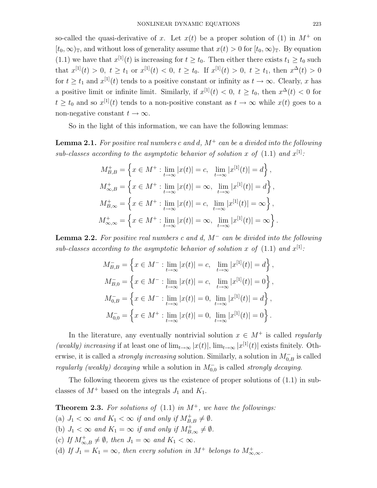so-called the quasi-derivative of x. Let  $x(t)$  be a proper solution of (1) in  $M^+$  on  $[t_0, \infty)_\mathbb{T}$ , and without loss of generality assume that  $x(t) > 0$  for  $[t_0, \infty)_\mathbb{T}$ . By equation (1.1) we have that  $x^{[1]}(t)$  is increasing for  $t \ge t_0$ . Then either there exists  $t_1 \ge t_0$  such that  $x^{[1]}(t) > 0$ ,  $t \ge t_1$  or  $x^{[1]}(t) < 0$ ,  $t \ge t_0$ . If  $x^{[1]}(t) > 0$ ,  $t \ge t_1$ , then  $x^{\Delta}(t) > 0$ for  $t \geq t_1$  and  $x^{[1]}(t)$  tends to a positive constant or infinity as  $t \to \infty$ . Clearly, x has a positive limit or infinite limit. Similarly, if  $x^{[1]}(t) < 0, t \ge t_0$ , then  $x^{\Delta}(t) < 0$  for  $t \geq t_0$  and so  $x^{[1]}(t)$  tends to a non-positive constant as  $t \to \infty$  while  $x(t)$  goes to a non-negative constant  $t \to \infty$ .

So in the light of this information, we can have the following lemmas:

**Lemma 2.1.** For positive real numbers c and d,  $M^+$  can be a divided into the following sub-classes according to the asymptotic behavior of solution x of  $(1.1)$  and  $x^{[1]}$ :

$$
M_{B,B}^{+} = \left\{ x \in M^{+} : \lim_{t \to \infty} |x(t)| = c, \lim_{t \to \infty} |x^{[1]}(t)| = d \right\},
$$
  

$$
M_{\infty,B}^{+} = \left\{ x \in M^{+} : \lim_{t \to \infty} |x(t)| = \infty, \lim_{t \to \infty} |x^{[1]}(t)| = d \right\},
$$
  

$$
M_{B,\infty}^{+} = \left\{ x \in M^{+} : \lim_{t \to \infty} |x(t)| = c, \lim_{t \to \infty} |x^{[1]}(t)| = \infty \right\},
$$
  

$$
M_{\infty,\infty}^{+} = \left\{ x \in M^{+} : \lim_{t \to \infty} |x(t)| = \infty, \lim_{t \to \infty} |x^{[1]}(t)| = \infty \right\}.
$$

**Lemma 2.2.** For positive real numbers c and d,  $M^-$  can be divided into the following sub-classes according to the asymptotic behavior of solution x of  $(1.1)$  and  $x^{[1]}$ :

$$
M_{B,B}^- = \left\{ x \in M^- : \lim_{t \to \infty} |x(t)| = c, \lim_{t \to \infty} |x^{[1]}(t)| = d \right\},\,
$$
  
\n
$$
M_{B,0}^- = \left\{ x \in M^- : \lim_{t \to \infty} |x(t)| = c, \lim_{t \to \infty} |x^{[1]}(t)| = 0 \right\},\,
$$
  
\n
$$
M_{0,B}^- = \left\{ x \in M^- : \lim_{t \to \infty} |x(t)| = 0, \lim_{t \to \infty} |x^{[1]}(t)| = d \right\},\,
$$
  
\n
$$
M_{0,0}^- = \left\{ x \in M^+ : \lim_{t \to \infty} |x(t)| = 0, \lim_{t \to \infty} |x^{[1]}(t)| = 0 \right\}.
$$

In the literature, any eventually nontrivial solution  $x \in M^+$  is called *regularly* (weakly) increasing if at least one of  $\lim_{t\to\infty} |x(t)|$ ,  $\lim_{t\to\infty} |x^{[1]}(t)|$  exists finitely. Otherwise, it is called a *strongly increasing* solution. Similarly, a solution in  $M_{0,B}^-$  is called regularly (weakly) decaying while a solution in  $M_{0,0}^-$  is called strongly decaying.

The following theorem gives us the existence of proper solutions of (1.1) in subclasses of  $M^+$  based on the integrals  $J_1$  and  $K_1$ .

**Theorem 2.3.** For solutions of  $(1.1)$  in  $M^+$ , we have the followings: (a)  $J_1 < \infty$  and  $K_1 < \infty$  if and only if  $M_{B,B}^+ \neq \emptyset$ . (b)  $J_1 < \infty$  and  $K_1 = \infty$  if and only if  $M_{B,\infty}^+ \neq \emptyset$ . (c) If  $M_{\infty,B}^+\neq\emptyset$ , then  $J_1=\infty$  and  $K_1<\infty$ . (d) If  $J_1 = K_1 = \infty$ , then every solution in  $M^+$  belongs to  $M^+_{\infty,\infty}$ .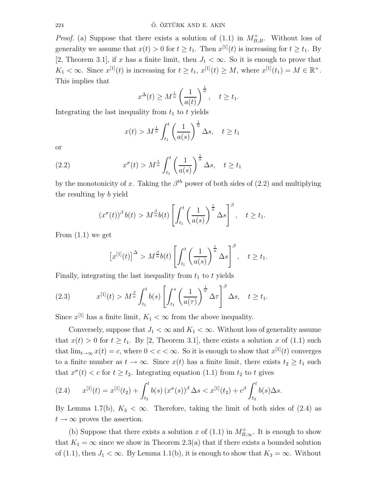*Proof.* (a) Suppose that there exists a solution of (1.1) in  $M_{B,B}^+$ . Without loss of generality we assume that  $x(t) > 0$  for  $t \ge t_1$ . Then  $x^{[1]}(t)$  is increasing for  $t \ge t_1$ . By [2, Theorem 3.1], if x has a finite limit, then  $J_1 < \infty$ . So it is enough to prove that  $K_1 < \infty$ . Since  $x^{[1]}(t)$  is increasing for  $t \geq t_1$ ,  $x^{[1]}(t) \geq M$ , where  $x^{[1]}(t_1) = M \in \mathbb{R}^+$ . This implies that

$$
x^{\Delta}(t) \ge M^{\frac{1}{\alpha}} \left(\frac{1}{a(t)}\right)^{\frac{1}{\alpha}}, \quad t \ge t_1.
$$

Integrating the last inequality from  $t_1$  to t yields

$$
x(t) > M^{\frac{1}{\alpha}} \int_{t_1}^t \left(\frac{1}{a(s)}\right)^{\frac{1}{\alpha}} \Delta s, \quad t \ge t_1
$$

or

(2.2) 
$$
x^{\sigma}(t) > M^{\frac{1}{\alpha}} \int_{t_1}^t \left(\frac{1}{a(s)}\right)^{\frac{1}{\alpha}} \Delta s, \quad t \ge t_1
$$

by the monotonicity of x. Taking the  $\beta^{th}$  power of both sides of (2.2) and multiplying the resulting by b yield

$$
(x^{\sigma}(t))^{\beta} b(t) > M^{\frac{\beta}{\alpha}}b(t) \left[ \int_{t_1}^t \left( \frac{1}{a(s)} \right)^{\frac{1}{\alpha}} \Delta s \right]^{\beta}, \quad t \geq t_1.
$$

From  $(1.1)$  we get

$$
\left[x^{[1]}(t)\right]^\Delta > M^{\frac{\beta}{\alpha}}b(t)\left[\int_{t_1}^t \left(\frac{1}{a(s)}\right)^{\frac{1}{\alpha}}\Delta s\right]^\beta, \quad t \ge t_1.
$$

Finally, integrating the last inequality from  $t_1$  to t yields

(2.3) 
$$
x^{[1]}(t) > M^{\frac{\beta}{\alpha}} \int_{t_1}^t b(s) \left[ \int_{t_1}^s \left( \frac{1}{a(\tau)} \right)^{\frac{1}{\alpha}} \Delta \tau \right]^{\beta} \Delta s, \quad t \ge t_1.
$$

Since  $x^{[1]}$  has a finite limit,  $K_1 < \infty$  from the above inequality.

Conversely, suppose that  $J_1 < \infty$  and  $K_1 < \infty$ . Without loss of generality assume that  $x(t) > 0$  for  $t \ge t_1$ . By [2, Theorem 3.1], there exists a solution x of (1.1) such that  $\lim_{t\to\infty} x(t) = c$ , where  $0 < c < \infty$ . So it is enough to show that  $x^{[1]}(t)$  converges to a finite number as  $t \to \infty$ . Since  $x(t)$  has a finite limit, there exists  $t_2 \geq t_1$  such that  $x^{\sigma}(t) < c$  for  $t \geq t_2$ . Integrating equation (1.1) from  $t_2$  to t gives

$$
(2.4) \t x^{[1]}(t) = x^{[1]}(t_2) + \int_{t_2}^t b(s) (x^{\sigma}(s))^{\beta} \Delta s < x^{[1]}(t_2) + c^{\beta} \int_{t_2}^t b(s) \Delta s.
$$

By Lemma 1.7(b),  $K_3 < \infty$ . Therefore, taking the limit of both sides of (2.4) as  $t \to \infty$  proves the assertion.

(b) Suppose that there exists a solution x of (1.1) in  $M^+_{B,\infty}$ . It is enough to show that  $K_1 = \infty$  since we show in Theorem 2.3(a) that if there exists a bounded solution of (1.1), then  $J_1 < \infty$ . By Lemma 1.1(b), it is enough to show that  $K_3 = \infty$ . Without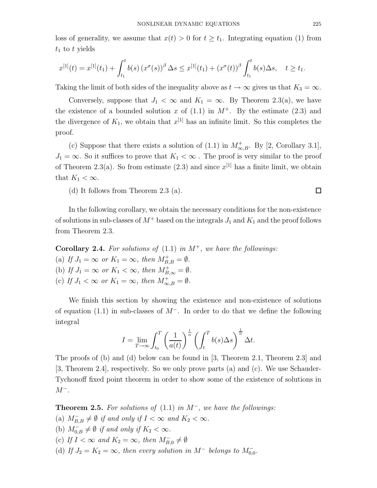loss of generality, we assume that  $x(t) > 0$  for  $t \geq t_1$ . Integrating equation (1) from  $t_1$  to t yields

$$
x^{[1]}(t) = x^{[1]}(t_1) + \int_{t_1}^t b(s) (x^{\sigma}(s))^{\beta} \Delta s \leq x^{[1]}(t_1) + (x^{\sigma}(t))^{\beta} \int_{t_1}^t b(s) \Delta s, \quad t \geq t_1.
$$

Taking the limit of both sides of the inequality above as  $t \to \infty$  gives us that  $K_3 = \infty$ .

Conversely, suppose that  $J_1 < \infty$  and  $K_1 = \infty$ . By Theorem 2.3(a), we have the existence of a bounded solution x of  $(1.1)$  in  $M^+$ . By the estimate  $(2.3)$  and the divergence of  $K_1$ , we obtain that  $x^{[1]}$  has an infinite limit. So this completes the proof.

(c) Suppose that there exists a solution of  $(1.1)$  in  $M_{\infty,B}^+$ . By [2, Corollary 3.1],  $J_1 = \infty$ . So it suffices to prove that  $K_1 < \infty$ . The proof is very similar to the proof of Theorem 2.3(a). So from estimate (2.3) and since  $x^{[1]}$  has a finite limit, we obtain that  $K_1 < \infty$ .

(d) It follows from Theorem 2.3 (a).

In the following corollary, we obtain the necessary conditions for the non-existence of solutions in sub-classes of  $M^+$  based on the integrals  $J_1$  and  $K_1$  and the proof follows from Theorem 2.3.

**Corollary 2.4.** For solutions of  $(1.1)$  in  $M^+$ , we have the followings: (a) If  $J_1 = \infty$  or  $K_1 = \infty$ , then  $M_{B,B}^+ = \emptyset$ . (b) If  $J_1 = \infty$  or  $K_1 < \infty$ , then  $M_{B,\infty}^+ = \emptyset$ . (c) If  $J_1 < \infty$  or  $K_1 = \infty$ , then  $M_{\infty,B}^+ = \emptyset$ .

We finish this section by showing the existence and non-existence of solutions of equation (1.1) in sub-classes of  $M^-$ . In order to do that we define the following integral

$$
I = \lim_{T \to \infty} \int_{t_0}^{T} \left(\frac{1}{a(t)}\right)^{\frac{1}{\alpha}} \left(\int_{t}^{T} b(s) \Delta s\right)^{\frac{1}{\alpha}} \Delta t.
$$

The proofs of (b) and (d) below can be found in [3, Theorem 2.1, Theorem 2.3] and [3, Theorem 2.4], respectively. So we only prove parts (a) and (c). We use Schauder-Tychonoff fixed point theorem in order to show some of the existence of solutions in  $M^-$ .

**Theorem 2.5.** For solutions of  $(1.1)$  in  $M^-$ , we have the followings:

- (a)  $M_{B,B}^- \neq \emptyset$  if and only if  $I < \infty$  and  $K_2 < \infty$ .
- (b)  $M_{0,B}^- \neq \emptyset$  if and only if  $K_2 < \infty$ .
- (c) If  $I < \infty$  and  $K_2 = \infty$ , then  $M_{B,0}^- \neq \emptyset$
- (d) If  $J_2 = K_2 = \infty$ , then every solution in M<sup>-</sup> belongs to  $M_{0,0}^-$ .

 $\Box$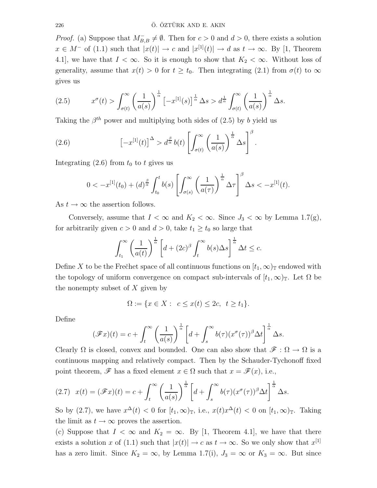*Proof.* (a) Suppose that  $M_{B,B}^- \neq \emptyset$ . Then for  $c > 0$  and  $d > 0$ , there exists a solution  $x \in M^-$  of (1.1) such that  $|x(t)| \to c$  and  $|x^{[1]}(t)| \to d$  as  $t \to \infty$ . By [1, Theorem 4.1, we have that  $I < \infty$ . So it is enough to show that  $K_2 < \infty$ . Without loss of generality, assume that  $x(t) > 0$  for  $t \geq t_0$ . Then integrating (2.1) from  $\sigma(t)$  to  $\infty$ gives us

(2.5) 
$$
x^{\sigma}(t) > \int_{\sigma(t)}^{\infty} \left(\frac{1}{a(s)}\right)^{\frac{1}{\alpha}} \left[-x^{[1]}(s)\right]^{\frac{1}{\alpha}} \Delta s > d^{\frac{1}{\alpha}} \int_{\sigma(t)}^{\infty} \left(\frac{1}{a(s)}\right)^{\frac{1}{\alpha}} \Delta s.
$$

Taking the  $\beta^{th}$  power and multiplying both sides of (2.5) by b yield us

(2.6) 
$$
\left[-x^{[1]}(t)\right]^{\Delta} > d^{\frac{\beta}{\alpha}}b(t)\left[\int_{\sigma(t)}^{\infty}\left(\frac{1}{a(s)}\right)^{\frac{1}{\alpha}}\Delta s\right]^{\beta}.
$$

Integrating  $(2.6)$  from  $t_0$  to t gives us

$$
0 < -x^{[1]}(t_0) + (d)^{\frac{\beta}{\alpha}} \int_{t_0}^t b(s) \left[ \int_{\sigma(s)}^{\infty} \left( \frac{1}{a(\tau)} \right)^{\frac{1}{\alpha}} \Delta \tau \right]^{\beta} \Delta s < -x^{[1]}(t).
$$

As  $t \to \infty$  the assertion follows.

Conversely, assume that  $I < \infty$  and  $K_2 < \infty$ . Since  $J_3 < \infty$  by Lemma 1.7(g), for arbitrarily given  $c > 0$  and  $d > 0$ , take  $t_1 \geq t_0$  so large that

$$
\int_{t_1}^{\infty} \left(\frac{1}{a(t)}\right)^{\frac{1}{\alpha}} \left[d + (2c)^{\beta} \int_t^{\infty} b(s) \Delta s\right]^{\frac{1}{\alpha}} \Delta t \leq c.
$$

Define X to be the Frechet space of all continuous functions on  $[t_1, \infty)$  endowed with the topology of uniform convergence on compact sub-intervals of  $[t_1,\infty)_\mathbb{T}$ . Let  $\Omega$  be the nonempty subset of  $X$  given by

$$
\Omega := \{ x \in X : \ c \le x(t) \le 2c, \ t \ge t_1 \}.
$$

Define

$$
(\mathscr{F}x)(t) = c + \int_t^{\infty} \left(\frac{1}{a(s)}\right)^{\frac{1}{\alpha}} \left[d + \int_s^{\infty} b(\tau)(x^{\sigma}(\tau))^{\beta} \Delta t\right]^{\frac{1}{\alpha}} \Delta s.
$$

Clearly  $\Omega$  is closed, convex and bounded. One can also show that  $\mathscr{F} : \Omega \to \Omega$  is a continuous mapping and relatively compact. Then by the Schauder-Tychonoff fixed point theorem,  $\mathscr F$  has a fixed element  $x \in \Omega$  such that  $x = \mathscr F(x)$ , i.e.,

$$
(2.7) \t x(t) = (\mathscr{F}x)(t) = c + \int_t^{\infty} \left(\frac{1}{a(s)}\right)^{\frac{1}{\alpha}} \left[d + \int_s^{\infty} b(\tau)(x^{\sigma}(\tau))^{\beta} \Delta t\right]^{\frac{1}{\alpha}} \Delta s.
$$

So by (2.7), we have  $x^{\Delta}(t) < 0$  for  $[t_1, \infty)_{\mathbb{T}}$ , i.e.,  $x(t)x^{\Delta}(t) < 0$  on  $[t_1, \infty)_{\mathbb{T}}$ . Taking the limit as  $t \to \infty$  proves the assertion.

(c) Suppose that  $I < \infty$  and  $K_2 = \infty$ . By [1, Theorem 4.1], we have that there exists a solution x of (1.1) such that  $|x(t)| \to c$  as  $t \to \infty$ . So we only show that  $x^{[1]}$ has a zero limit. Since  $K_2 = \infty$ , by Lemma 1.7(i),  $J_3 = \infty$  or  $K_3 = \infty$ . But since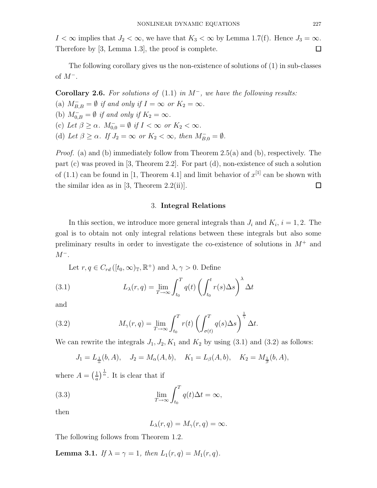I <  $\infty$  implies that  $J_2 < \infty$ , we have that  $K_3 < \infty$  by Lemma 1.7(f). Hence  $J_3 = \infty$ . Therefore by [3, Lemma 1.3], the proof is complete.  $\Box$ 

The following corollary gives us the non-existence of solutions of (1) in sub-classes of  $M^-$ .

Corollary 2.6. For solutions of  $(1.1)$  in  $M^-$ , we have the following results: (a)  $M_{B,B}^- = \emptyset$  if and only if  $I = \infty$  or  $K_2 = \infty$ . (b)  $M_{0,B}^- = \emptyset$  if and only if  $K_2 = \infty$ . (c) Let  $\beta \geq \alpha$ .  $M_{0,0}^- = \emptyset$  if  $I < \infty$  or  $K_2 < \infty$ . (d) Let  $\beta \geq \alpha$ . If  $J_2 = \infty$  or  $K_2 < \infty$ , then  $M_{B,0}^- = \emptyset$ .

*Proof.* (a) and (b) immediately follow from Theorem 2.5(a) and (b), respectively. The part (c) was proved in [3, Theorem 2.2]. For part (d), non-existence of such a solution of  $(1.1)$  can be found in [1, Theorem 4.1] and limit behavior of  $x^{[1]}$  can be shown with the similar idea as in  $[3,$  Theorem  $2.2(ii)$ .  $\Box$ 

### 3. Integral Relations

In this section, we introduce more general integrals than  $J_i$  and  $K_i$ ,  $i = 1, 2$ . The goal is to obtain not only integral relations between these integrals but also some preliminary results in order to investigate the co-existence of solutions in  $M^+$  and  $M^-$ .

Let  $r, q \in C_{rd}([t_0, \infty)_\mathbb{T}, \mathbb{R}^+)$  and  $\lambda, \gamma > 0$ . Define

(3.1) 
$$
L_{\lambda}(r,q) = \lim_{T \to \infty} \int_{t_0}^{T} q(t) \left( \int_{t_0}^{t} r(s) \Delta s \right)^{\lambda} \Delta t
$$

and

(3.2) 
$$
M_{\gamma}(r,q) = \lim_{T \to \infty} \int_{t_0}^{T} r(t) \left( \int_{\sigma(t)}^{T} q(s) \Delta s \right)^{\frac{1}{\gamma}} \Delta t.
$$

We can rewrite the integrals  $J_1, J_2, K_1$  and  $K_2$  by using (3.1) and (3.2) as follows:

$$
J_1 = L_{\frac{1}{\alpha}}(b, A), \quad J_2 = M_{\alpha}(A, b), \quad K_1 = L_{\beta}(A, b), \quad K_2 = M_{\frac{1}{\beta}}(b, A),
$$

where  $A = \left(\frac{1}{a}\right)$  $\frac{1}{a}$ ) $\frac{1}{\alpha}$ . It is clear that if

(3.3) 
$$
\lim_{T \to \infty} \int_{t_0}^T q(t) \Delta t = \infty,
$$

then

$$
L_{\lambda}(r,q) = M_{\gamma}(r,q) = \infty.
$$

The following follows from Theorem 1.2.

**Lemma 3.1.** If  $\lambda = \gamma = 1$ , then  $L_1(r, q) = M_1(r, q)$ .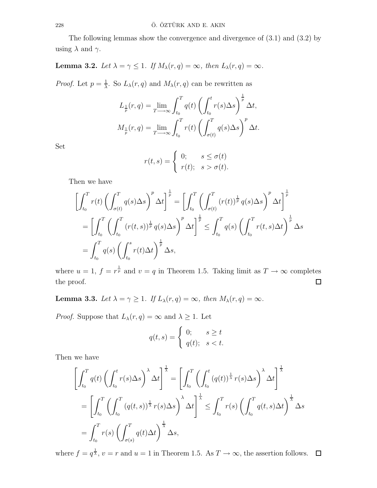The following lemmas show the convergence and divergence of (3.1) and (3.2) by using  $\lambda$  and  $\gamma$ .

# **Lemma 3.2.** Let  $\lambda = \gamma \leq 1$ . If  $M_{\lambda}(r, q) = \infty$ , then  $L_{\lambda}(r, q) = \infty$ .

*Proof.* Let  $p = \frac{1}{\lambda}$  $\frac{1}{\lambda}$ . So  $L_{\lambda}(r,q)$  and  $M_{\lambda}(r,q)$  can be rewritten as

$$
L_{\frac{1}{p}}(r,q) = \lim_{T \to \infty} \int_{t_0}^{T} q(t) \left( \int_{t_0}^{t} r(s) \Delta s \right)^{\frac{1}{p}} \Delta t,
$$
  

$$
M_{\frac{1}{p}}(r,q) = \lim_{T \to \infty} \int_{t_0}^{T} r(t) \left( \int_{\sigma(t)}^{T} q(s) \Delta s \right)^{p} \Delta t.
$$

Set

$$
r(t,s) = \begin{cases} 0; & s \le \sigma(t) \\ r(t); & s > \sigma(t). \end{cases}
$$

Then we have

$$
\left[\int_{t_0}^T r(t) \left(\int_{\sigma(t)}^T q(s) \Delta s\right)^p \Delta t\right]^{\frac{1}{p}} = \left[\int_{t_0}^T \left(\int_{\sigma(t)}^T (r(t))^{\frac{1}{p}} q(s) \Delta s\right)^p \Delta t\right]^{\frac{1}{p}}
$$

$$
= \left[\int_{t_0}^T \left(\int_{t_0}^T (r(t,s))^{\frac{1}{p}} q(s) \Delta s\right)^p \Delta t\right]^{\frac{1}{p}} \leq \int_{t_0}^T q(s) \left(\int_{t_0}^T r(t,s) \Delta t\right)^{\frac{1}{p}} \Delta s
$$

$$
= \int_{t_0}^T q(s) \left(\int_{t_0}^s r(t) \Delta t\right)^{\frac{1}{p}} \Delta s,
$$

where  $u = 1$ ,  $f = r^{\frac{1}{p}}$  and  $v = q$  in Theorem 1.5. Taking limit as  $T \to \infty$  completes the proof.  $\Box$ 

**Lemma 3.3.** Let  $\lambda = \gamma \geq 1$ . If  $L_{\lambda}(r, q) = \infty$ , then  $M_{\lambda}(r, q) = \infty$ .

*Proof.* Suppose that  $L_{\lambda}(r, q) = \infty$  and  $\lambda \geq 1$ . Let

$$
q(t,s) = \begin{cases} 0; & s \ge t \\ q(t); & s < t. \end{cases}
$$

Then we have

$$
\left[\int_{t_0}^T q(t) \left(\int_{t_0}^t r(s) \Delta s\right)^{\lambda} \Delta t\right]^{\frac{1}{\lambda}} = \left[\int_{t_0}^T \left(\int_{t_0}^t (q(t))^{\frac{1}{\lambda}} r(s) \Delta s\right)^{\lambda} \Delta t\right]^{\frac{1}{\lambda}}
$$

$$
= \left[\int_{t_0}^T \left(\int_{t_0}^T (q(t,s))^{\frac{1}{\lambda}} r(s) \Delta s\right)^{\lambda} \Delta t\right]^{\frac{1}{\lambda}} \le \int_{t_0}^T r(s) \left(\int_{t_0}^T q(t,s) \Delta t\right)^{\frac{1}{\lambda}} \Delta s
$$

$$
= \int_{t_0}^T r(s) \left(\int_{\sigma(s)}^T q(t) \Delta t\right)^{\frac{1}{\lambda}} \Delta s,
$$

where  $f = q^{\frac{1}{\lambda}}, v = r$  and  $u = 1$  in Theorem 1.5. As  $T \to \infty$ , the assertion follows.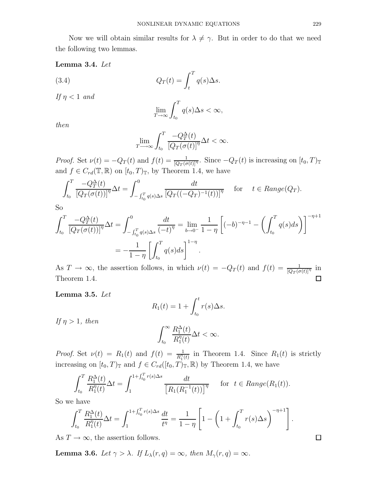## Lemma 3.4. Let

(3.4) 
$$
Q_T(t) = \int_t^T q(s) \Delta s.
$$

If  $\eta < 1$  and

$$
\lim_{T \to \infty} \int_{t_0}^T q(s) \Delta s < \infty,
$$

then

$$
\lim_{T \to \infty} \int_{t_0}^{T} \frac{-Q_T^{\Delta}(t)}{\left[Q_T(\sigma(t)\right]^{\eta}} \Delta t < \infty.
$$

*Proof.* Set  $\nu(t) = -Q_T(t)$  and  $f(t) = \frac{1}{[Q_T(\sigma(t))]^{\eta}}$ . Since  $-Q_T(t)$  is increasing on  $[t_0, T)_{\mathbb{T}}$ and  $f \in C_{rd}(\mathbb{T}, \mathbb{R})$  on  $[t_0, T)_{\mathbb{T}}$ , by Theorem 1.4, we have

$$
\int_{t_0}^T \frac{-Q_T^{\Delta}(t)}{\left[Q_T(\sigma(t))\right]^{\eta}} \Delta t = \int_{- \int_{t_0}^T q(s) \Delta s}^0 \frac{dt}{\left[Q_T((-Q_T)^{-1}(t))\right]^{\eta}} \quad \text{for} \quad t \in Range(Q_T).
$$

So

$$
\int_{t_0}^{T} \frac{-Q_T^{\Delta}(t)}{\left[Q_T(\sigma(t))\right]^{\eta}} \Delta t = \int_{- \int_{t_0}^{T} q(s) \Delta s}^{0} \frac{dt}{(-t)^{\eta}} = \lim_{b \to 0^{-}} \frac{1}{1 - \eta} \left[ (-b)^{-\eta - 1} - \left( \int_{t_0}^{T} q(s) ds \right) \right]^{-\eta + 1}
$$

$$
= -\frac{1}{1 - \eta} \left[ \int_{t_0}^{T} q(s) ds \right]^{1 - \eta}.
$$

As  $T \to \infty$ , the assertion follows, in which  $\nu(t) = -Q_T(t)$  and  $f(t) = \frac{1}{[Q_T(\sigma(t)]^{\eta}}$  in Theorem 1.4.  $\Box$ 

Lemma 3.5. Let

$$
R_1(t) = 1 + \int_{t_0}^t r(s) \Delta s.
$$

If  $\eta > 1$ , then

$$
\int_{t_0}^{\infty} \frac{R_1^{\Delta}(t)}{R_1^{\eta}(t)} \Delta t < \infty.
$$

*Proof.* Set  $\nu(t) = R_1(t)$  and  $f(t) = \frac{1}{R_1^{\eta}(t)}$  in Theorem 1.4. Since  $R_1(t)$  is strictly increasing on  $[t_0, T)_{\mathbb{T}}$  and  $f \in C_{rd}([t_0, T)_{\mathbb{T}}, \mathbb{R})$  by Theorem 1.4, we have

$$
\int_{t_0}^T \frac{R_1^{\Delta}(t)}{R_1^{\eta}(t)} \Delta t = \int_1^{1 + \int_{t_0}^T r(s) \Delta s} \frac{dt}{\left[R_1(R_1^{-1}(t))\right]^{\eta}} \quad \text{for } t \in Range(R_1(t)).
$$

So we have

$$
\int_{t_0}^{T} \frac{R_1^{\Delta}(t)}{R_1^{\eta}(t)} \Delta t = \int_{1}^{1 + \int_{t_0}^{T} r(s) \Delta s} \frac{dt}{t^{\eta}} = \frac{1}{1 - \eta} \left[ 1 - \left( 1 + \int_{t_0}^{T} r(s) \Delta s \right)^{-\eta + 1} \right]
$$

As  $T \to \infty$ , the assertion follows.

**Lemma 3.6.** Let  $\gamma > \lambda$ . If  $L_\lambda(r, q) = \infty$ , then  $M_\gamma(r, q) = \infty$ .

.

 $\Box$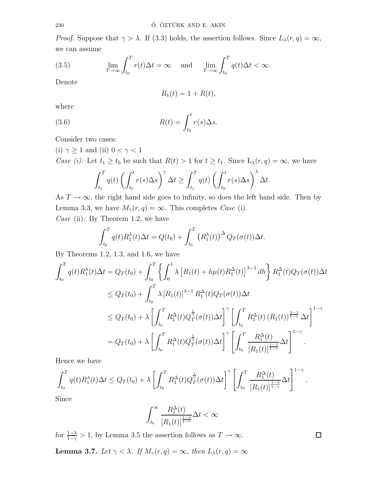*Proof.* Suppose that  $\gamma > \lambda$ . If (3.3) holds, the assertion follows. Since  $L_{\lambda}(r, q) = \infty$ , we can assume

(3.5) 
$$
\lim_{T \to \infty} \int_{t_0}^T r(t) \Delta t = \infty \quad \text{and} \quad \lim_{T \to \infty} \int_{t_0}^T q(t) \Delta t < \infty.
$$

Denote

$$
R_1(t) = 1 + R(t),
$$

where

(3.6) 
$$
R(t) = \int_{t_0}^t r(s) \Delta s.
$$

Consider two cases:

(i) 
$$
\gamma \ge 1
$$
 and (ii)  $0 < \gamma < 1$   
Case (i): Let  $t_1 \ge t_0$  be such that  $R(t) > 1$  for  $t \ge t_1$ . Since  $L_\lambda(r, q) = \infty$ , we have  

$$
\int_{t_1}^T q(t) \left( \int_{t_0}^t r(s) \Delta s \right)^\gamma \Delta t \ge \int_{t_1}^T q(t) \left( \int_{t_0}^t r(s) \Delta s \right)^\lambda \Delta t.
$$

As  $T \to \infty$ , the right hand side goes to infinity, so does the left hand side. Then by Lemma 3.3, we have  $M_{\gamma}(r, q) = \infty$ . This completes *Case* (i).

*Case* (ii): By Theorem 1.2, we have

$$
\int_{t_0}^T q(t) R_1^{\lambda}(t) \Delta t = Q(t_0) + \int_{t_0}^T (R_1^{\lambda}(t))^{\Delta} Q_T(\sigma(t)) \Delta t.
$$

By Theorems 1.2, 1.3, and 1.6, we have

$$
\int_{t_0}^{T} q(t) R_1^{\lambda}(t) \Delta t = Q_T(t_0) + \int_{t_0}^{T} \left\{ \int_0^1 \lambda \left[ R_1(t) + h\mu(t) R_1^{\Delta}(t) \right]^{\lambda - 1} dh \right\} R_1^{\Delta}(t) Q_T(\sigma(t)) \Delta t
$$
\n
$$
\leq Q_T(t_0) + \int_{t_0}^{T} \lambda \left[ R_1(t) \right]^{\lambda - 1} R_1^{\Delta}(t) Q_T(\sigma(t)) \Delta t
$$
\n
$$
\leq Q_T(t_0) + \lambda \left[ \int_{t_0}^{T} R_1^{\Delta}(t) Q_T^{\frac{1}{\gamma}}(\sigma(t)) \Delta t \right]^\gamma \left[ \int_{t_0}^{T} R_1^{\Delta}(t) (R_1(t))^{\frac{\lambda - 1}{1 - \gamma}} \Delta t \right]^{1 - \gamma}
$$
\n
$$
= Q_T(t_0) + \lambda \left[ \int_{t_0}^{T} R_1^{\Delta}(t) Q_T^{\frac{1}{\gamma}}(\sigma(t)) \Delta t \right]^\gamma \left[ \int_{t_0}^{T} \frac{R_1^{\Delta}(t)}{\left[ R_1(t) \right]^{\frac{1 - \lambda}{1 - \gamma}}} \Delta t \right]^{1 - \gamma}.
$$

Hence we have

$$
\int_{t_0}^T q(t) R_1^{\lambda}(t) \Delta t \le Q_T(t_0) + \lambda \left[ \int_{t_0}^T R_1^{\Delta}(t) Q_T^{\frac{1}{\gamma}}(\sigma(t)) \Delta t \right]^\gamma \left[ \int_{t_0}^T \frac{R_1^{\Delta}(t)}{[R_1(t)]^{\frac{1-\lambda}{1-\gamma}}} \Delta t \right]^{1-\gamma}.
$$

Since

$$
\int_{t_0}^{\infty}\frac{R_1^{\Delta}(t)}{[R_1(t)]^{\frac{1-\lambda}{1-\gamma}}}\Delta t < \infty
$$

 $\Box$ 

for  $\frac{1-\lambda}{1-\gamma} > 1$ , by Lemma 3.5 the assertion follows as  $T \to \infty$ .

**Lemma 3.7.** Let  $\gamma < \lambda$ . If  $M_{\gamma}(r, q) = \infty$ , then  $L_{\lambda}(r, q) = \infty$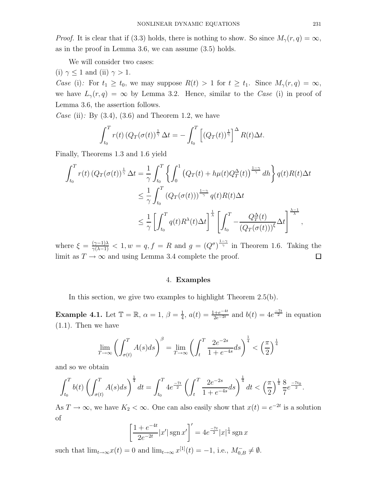*Proof.* It is clear that if (3.3) holds, there is nothing to show. So since  $M_{\gamma}(r, q) = \infty$ , as in the proof in Lemma 3.6, we can assume (3.5) holds.

We will consider two cases:

(i)  $\gamma \leq 1$  and (ii)  $\gamma > 1$ .

*Case* (i): For  $t_1 \ge t_0$ , we may suppose  $R(t) > 1$  for  $t \ge t_1$ . Since  $M_\gamma(r, q) = \infty$ , we have  $L_{\gamma}(r, q) = \infty$  by Lemma 3.2. Hence, similar to the Case (i) in proof of Lemma 3.6, the assertion follows.

Case (ii): By  $(3.4)$ ,  $(3.6)$  and Theorem 1.2, we have

$$
\int_{t_0}^T r(t) \left( Q_T(\sigma(t))^\frac{1}{\gamma} \Delta t \right) = - \int_{t_0}^T \left[ \left( Q_T(t) \right)^\frac{1}{\gamma} \right]^\Delta R(t) \Delta t.
$$

Finally, Theorems 1.3 and 1.6 yield

$$
\int_{t_0}^{T} r(t) \left( Q_T(\sigma(t))^\frac{1}{\gamma} \Delta t = \frac{1}{\gamma} \int_{t_0}^{T} \left\{ \int_0^1 \left( Q_T(t) + h\mu(t) Q_T^{\Delta}(t) \right)^\frac{1-\gamma}{\gamma} dh \right\} q(t) R(t) \Delta t
$$
\n
$$
\leq \frac{1}{\gamma} \int_{t_0}^{T} \left( Q_T(\sigma(t)) \right)^\frac{1-\gamma}{\gamma} q(t) R(t) \Delta t
$$
\n
$$
\leq \frac{1}{\gamma} \left[ \int_{t_0}^{T} q(t) R^\lambda(t) \Delta t \right]^\frac{1}{\lambda} \left[ \int_{t_0}^{T} - \frac{Q_T^{\Delta}(t)}{(Q_T(\sigma(t)))^\xi} \Delta t \right]^\frac{\lambda-1}{\lambda},
$$

where  $\xi = \frac{(\gamma - 1)\lambda}{\gamma(\lambda - 1)} < 1, w = q, f = R$  and  $g = (Q^{\sigma})^{\frac{1-\gamma}{\gamma}}$  in Theorem 1.6. Taking the limit as  $T \to \infty$  and using Lemma 3.4 complete the proof.  $\Box$ 

### 4. Examples

In this section, we give two examples to highlight Theorem 2.5(b).

**Example 4.1.** Let  $\mathbb{T} = \mathbb{R}, \alpha = 1, \beta = \frac{1}{4}$  $\frac{1}{4}$ ,  $a(t) = \frac{1+e^{-4t}}{2e^{-2t}}$  and  $b(t) = 4e^{\frac{-7t}{2}}$  in equation (1.1). Then we have

$$
\lim_{T \to \infty} \left( \int_{\sigma(t)}^{T} A(s) ds \right)^{\beta} = \lim_{T \to \infty} \left( \int_{t}^{T} \frac{2e^{-2s}}{1 + e^{-4s}} ds \right)^{\frac{1}{4}} < \left( \frac{\pi}{2} \right)^{\frac{1}{4}}
$$

and so we obtain

$$
\int_{t_0}^T b(t) \left( \int_{\sigma(t)}^T A(s) ds \right)^{\frac{1}{4}} dt = \int_{t_0}^T 4e^{-\frac{7t}{2}} \left( \int_t^T \frac{2e^{-2s}}{1+e^{-4s}} ds \right)^{\frac{1}{4}} dt < \left( \frac{\pi}{2} \right)^{\frac{1}{4}} \frac{8}{7} e^{-\frac{7t_0}{2}}.
$$

As  $T \to \infty$ , we have  $K_2 < \infty$ . One can also easily show that  $x(t) = e^{-2t}$  is a solution of

$$
\left[\frac{1+e^{-4t}}{2e^{-2t}}|x'|\sin x'\right]' = 4e^{\frac{-7t}{2}}|x|^{\frac{1}{4}}\operatorname{sgn} x
$$

such that  $\lim_{t\to\infty} x(t) = 0$  and  $\lim_{t\to\infty} x^{[1]}(t) = -1$ , i.e.,  $M_{0,B}^- \neq \emptyset$ .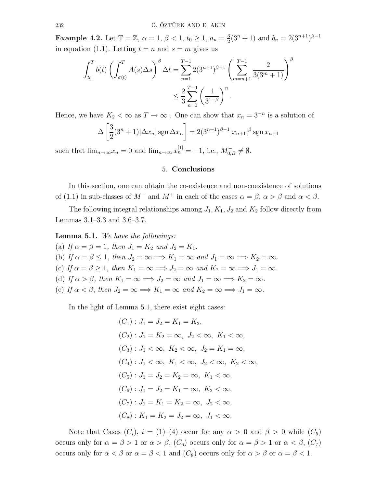**Example 4.2.** Let  $\mathbb{T} = \mathbb{Z}, \alpha = 1, \beta < 1, t_0 \geq 1, a_n = \frac{3}{2}$  $\frac{3}{2}(3^n+1)$  and  $b_n = 2(3^{n+1})^{\beta-1}$ in equation (1.1). Letting  $t = n$  and  $s = m$  gives us

$$
\int_{t_0}^T b(t) \left( \int_{\sigma(t)}^T A(s) \Delta s \right)^\beta \Delta t = \sum_{n=1}^{T-1} 2(3^{n+1})^{\beta-1} \left( \sum_{m=n+1}^{T-1} \frac{2}{3(3^m+1)} \right)^\beta
$$
  

$$
\leq \frac{2}{3} \sum_{n=1}^{T-1} \left( \frac{1}{3^{1-\beta}} \right)^n.
$$

Hence, we have  $K_2 < \infty$  as  $T \to \infty$ . One can show that  $x_n = 3^{-n}$  is a solution of

$$
\Delta \left[ \frac{3}{2} (3^n + 1) |\Delta x_n| \operatorname{sgn} \Delta x_n \right] = 2 (3^{n+1})^{\beta - 1} |x_{n+1}|^{\beta} \operatorname{sgn} x_{n+1}
$$

such that  $\lim_{n\to\infty} x_n = 0$  and  $\lim_{n\to\infty} x_n^{[1]} = -1$ , i.e.,  $M_{0,B}^- \neq \emptyset$ .

## 5. Conclusions

In this section, one can obtain the co-existence and non-coexistence of solutions of (1.1) in sub-classes of  $M^-$  and  $M^+$  in each of the cases  $\alpha = \beta$ ,  $\alpha > \beta$  and  $\alpha < \beta$ .

The following integral relationships among  $J_1, K_1, J_2$  and  $K_2$  follow directly from Lemmas 3.1–3.3 and 3.6–3.7.

Lemma 5.1. We have the followings:

(a) If  $\alpha = \beta = 1$ , then  $J_1 = K_2$  and  $J_2 = K_1$ . (b) If  $\alpha = \beta \leq 1$ , then  $J_2 = \infty \Longrightarrow K_1 = \infty$  and  $J_1 = \infty \Longrightarrow K_2 = \infty$ . (c) If  $\alpha = \beta \ge 1$ , then  $K_1 = \infty \Longrightarrow J_2 = \infty$  and  $K_2 = \infty \Longrightarrow J_1 = \infty$ . (d) If  $\alpha > \beta$ , then  $K_1 = \infty \Longrightarrow J_2 = \infty$  and  $J_1 = \infty \Longrightarrow K_2 = \infty$ . (e) If  $\alpha < \beta$ , then  $J_2 = \infty \Longrightarrow K_1 = \infty$  and  $K_2 = \infty \Longrightarrow J_1 = \infty$ .

In the light of Lemma 5.1, there exist eight cases:

$$
(C_1): J_1 = J_2 = K_1 = K_2,
$$
  
\n
$$
(C_2): J_1 = K_2 = \infty, J_2 < \infty, K_1 < \infty,
$$
  
\n
$$
(C_3): J_1 < \infty, K_2 < \infty, J_2 = K_1 = \infty,
$$
  
\n
$$
(C_4): J_1 < \infty, K_1 < \infty, J_2 < \infty, K_2 < \infty,
$$
  
\n
$$
(C_5): J_1 = J_2 = K_2 = \infty, K_1 < \infty,
$$
  
\n
$$
(C_6): J_1 = J_2 = K_1 = \infty, K_2 < \infty,
$$
  
\n
$$
(C_7): J_1 = K_1 = K_2 = \infty, J_2 < \infty,
$$
  
\n
$$
(C_8): K_1 = K_2 = J_2 = \infty, J_1 < \infty.
$$

Note that Cases  $(C_i)$ ,  $i = (1)–(4)$  occur for any  $\alpha > 0$  and  $\beta > 0$  while  $(C_5)$ occurs only for  $\alpha = \beta > 1$  or  $\alpha > \beta$ ,  $(C_6)$  occurs only for  $\alpha = \beta > 1$  or  $\alpha < \beta$ ,  $(C_7)$ occurs only for  $\alpha < \beta$  or  $\alpha = \beta < 1$  and  $(C_8)$  occurs only for  $\alpha > \beta$  or  $\alpha = \beta < 1$ .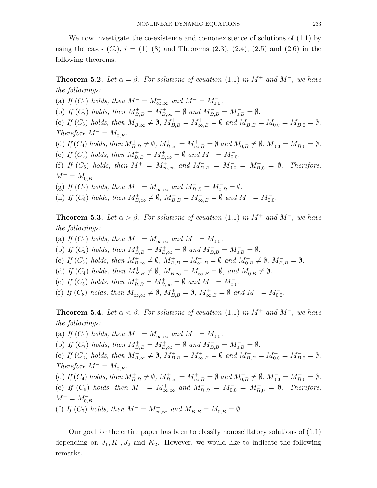We now investigate the co-existence and co-nonexistence of solutions of  $(1.1)$  by using the cases  $(C_i)$ ,  $i = (1)–(8)$  and Theorems  $(2.3)$ ,  $(2.4)$ ,  $(2.5)$  and  $(2.6)$  in the following theorems.

**Theorem 5.2.** Let  $\alpha = \beta$ . For solutions of equation (1.1) in M<sup>+</sup> and M<sup>-</sup>, we have the followings:

(a) If  $(C_1)$  holds, then  $M^+ = M^+_{\infty, \infty}$  and  $M^- = M^-_{0,0}$ . (b) If  $(C_2)$  holds, then  $M_{B,B}^+ = M_{B,\infty}^+ = \emptyset$  and  $M_{B,B}^- = M_{0,B}^- = \emptyset$ . (c) If  $(C_3)$  holds, then  $M_{B,\infty}^+ \neq \emptyset$ ,  $M_{B,B}^+ = M_{\infty,B}^+ = \emptyset$  and  $M_{B,B}^- = M_{0,0}^- = M_{B,0}^- = \emptyset$ . Therefore  $M^- = M_{0,B}^-$ . (d) If  $(C_4)$  holds, then  $M_{B,B}^+ \neq \emptyset$ ,  $M_{B,\infty}^+ = M_{\infty,B}^+ = \emptyset$  and  $M_{0,B}^- \neq \emptyset$ ,  $M_{0,0}^- = M_{B,0}^- = \emptyset$ . (e) If  $(C_5)$  holds, then  $M_{B,B}^+ = M_{B,\infty}^+ = \emptyset$  and  $M^- = M_{0,0}^-$ . (f) If  $(C_6)$  holds, then  $M^+ = M^+_{\infty,\infty}$  and  $M^-_{B,B} = M^-_{0,0} = M^-_{B,0} = \emptyset$ . Therefore,  $M^{-} = M_{0,B}^{-}.$ 

(g) If  $(C_7)$  holds, then  $M^+ = M^+_{\infty,\infty}$  and  $M^-_{B,B} = M^-_{0,B} = \emptyset$ .

(h) If  $(C_8)$  holds, then  $M^+_{B,\infty} \neq \emptyset$ ,  $M^+_{B,B} = M^+_{\infty,B} = \emptyset$  and  $M^- = M^-_{0,0}$ .

**Theorem 5.3.** Let  $\alpha > \beta$ . For solutions of equation (1.1) in M<sup>+</sup> and M<sup>-</sup>, we have the followings:

(a) If  $(C_1)$  holds, then  $M^+ = M^+_{\infty, \infty}$  and  $M^- = M^-_{0,0}$ .

(b) If  $(C_2)$  holds, then  $M_{B,B}^+ = M_{B,\infty}^+ = \emptyset$  and  $M_{B,B}^- = M_{0,B}^- = \emptyset$ .

- (c) If  $(C_3)$  holds, then  $M^+_{B,\infty} \neq \emptyset$ ,  $M^+_{B,B} = M^+_{\infty,B} = \emptyset$  and  $M^-_{0,B} \neq \emptyset$ ,  $M^-_{B,B} = \emptyset$ .
- (d) If  $(C_4)$  holds, then  $M_{B,B}^+ \neq \emptyset$ ,  $M_{B,\infty}^+ = M_{\infty,B}^+ = \emptyset$ , and  $M_{0,B}^- \neq \emptyset$ .
- (e) If  $(C_5)$  holds, then  $M_{B,B}^+ = M_{B,\infty}^+ = \emptyset$  and  $M^- = M_{0,0}^-$ .

(f) If  $(C_8)$  holds, then  $M^+_{\infty,\infty} \neq \emptyset$ ,  $M^+_{B,B} = \emptyset$ ,  $M^+_{\infty,B} = \emptyset$  and  $M^- = M^-_{0,0}$ .

**Theorem 5.4.** Let  $\alpha < \beta$ . For solutions of equation (1.1) in M<sup>+</sup> and M<sup>-</sup>, we have the followings:

(a) If  $(C_1)$  holds, then  $M^+ = M^+_{\infty, \infty}$  and  $M^- = M^-_{0,0}$ . (b) If  $(C_2)$  holds, then  $M_{B,B}^+ = M_{B,\infty}^+ = \emptyset$  and  $M_{B,B}^- = M_{0,B}^- = \emptyset$ . (c) If  $(C_3)$  holds, then  $M^+_{B,\infty} \neq \emptyset$ ,  $M^+_{B,B} = M^+_{\infty,B} = \emptyset$  and  $M^-_{B,B} = M^-_{0,0} = M^-_{B,0} = \emptyset$ . Therefore  $M^- = M_{0,B}^-$ . (d) If  $(C_4)$  holds, then  $M_{B,B}^+ \neq \emptyset$ ,  $M_{B,\infty}^+ = M_{\infty,B}^+ = \emptyset$  and  $M_{0,B}^- \neq \emptyset$ ,  $M_{0,0}^- = M_{B,0}^- = \emptyset$ . (e) If  $(C_6)$  holds, then  $M^+ = M^+_{\infty,\infty}$  and  $M^-_{B,B} = M^-_{0,0} = M^-_{B,0} = \emptyset$ . Therefore,  $M^{-} = M_{0,B}^{-}.$ (f) If  $(C_7)$  holds, then  $M^+ = M^+_{\infty,\infty}$  and  $M^-_{B,B} = M^-_{0,B} = \emptyset$ .

Our goal for the entire paper has been to classify nonoscillatory solutions of (1.1) depending on  $J_1, K_1, J_2$  and  $K_2$ . However, we would like to indicate the following remarks.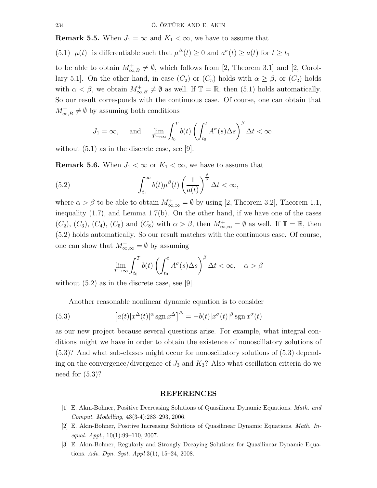**Remark 5.5.** When  $J_1 = \infty$  and  $K_1 < \infty$ , we have to assume that

(5.1)  $\mu(t)$  is differentiable such that  $\mu^{\Delta}(t) \geq 0$  and  $a^{\sigma}(t) \geq a(t)$  for  $t \geq t_1$ 

to be able to obtain  $M^{\dagger}_{\infty,B}\neq\emptyset$ , which follows from [2, Theorem 3.1] and [2, Corollary 5.1]. On the other hand, in case  $(C_2)$  or  $(C_5)$  holds with  $\alpha \geq \beta$ , or  $(C_2)$  holds with  $\alpha < \beta$ , we obtain  $M^+_{\infty, B} \neq \emptyset$  as well. If  $\mathbb{T} = \mathbb{R}$ , then (5.1) holds automatically. So our result corresponds with the continuous case. Of course, one can obtain that  $M^+_{\infty,B} \neq \emptyset$  by assuming both conditions

$$
J_1 = \infty
$$
, and  $\lim_{T \to \infty} \int_{t_0}^T b(t) \left( \int_{t_0}^t A^\sigma(s) \Delta s \right)^\beta \Delta t < \infty$ 

without  $(5.1)$  as in the discrete case, see [9].

**Remark 5.6.** When  $J_1 < \infty$  or  $K_1 < \infty$ , we have to assume that

(5.2) 
$$
\int_{t_1}^{\infty} b(t) \mu^{\beta}(t) \left(\frac{1}{a(t)}\right)^{\frac{\beta}{\alpha}} \Delta t < \infty,
$$

where  $\alpha > \beta$  to be able to obtain  $M_{\infty,\infty}^+ = \emptyset$  by using [2, Theorem 3.2], Theorem 1.1, inequality (1.7), and Lemma 1.7(b). On the other hand, if we have one of the cases  $(C_2)$ ,  $(C_3)$ ,  $(C_4)$ ,  $(C_5)$  and  $(C_8)$  with  $\alpha > \beta$ , then  $M^+_{\infty,\infty} = \emptyset$  as well. If  $\mathbb{T} = \mathbb{R}$ , then (5.2) holds automatically. So our result matches with the continuous case. Of course, one can show that  $M^+_{\infty,\infty} = \emptyset$  by assuming

$$
\lim_{T \to \infty} \int_{t_0}^T b(t) \left( \int_{t_0}^t A^\sigma(s) \Delta s \right)^\beta \Delta t < \infty, \quad \alpha > \beta
$$

without (5.2) as in the discrete case, see [9].

Another reasonable nonlinear dynamic equation is to consider

(5.3) 
$$
\left[a(t)|x^{\Delta}(t)|^{\alpha}\operatorname{sgn} x^{\Delta}\right]^{\Delta} = -b(t)|x^{\sigma}(t)|^{\beta}\operatorname{sgn} x^{\sigma}(t)
$$

as our new project because several questions arise. For example, what integral conditions might we have in order to obtain the existence of nonoscillatory solutions of (5.3)? And what sub-classes might occur for nonoscillatory solutions of (5.3) depending on the convergence/divergence of  $J_3$  and  $K_3$ ? Also what oscillation criteria do we need for (5.3)?

### REFERENCES

- [1] E. Akın-Bohner, Positive Decreasing Solutions of Quasilinear Dynamic Equations. Math. and Comput. Modelling, 43(3-4):283–293, 2006.
- [2] E. Akın-Bohner, Positive Increasing Solutions of Quasilinear Dynamic Equations. Math. Inequal.  $Appl., 10(1):99-110, 2007.$
- [3] E. Akın-Bohner, Regularly and Strongly Decaying Solutions for Quasilinear Dynamic Equations. Adv. Dyn. Syst. Appl 3(1), 15–24, 2008.